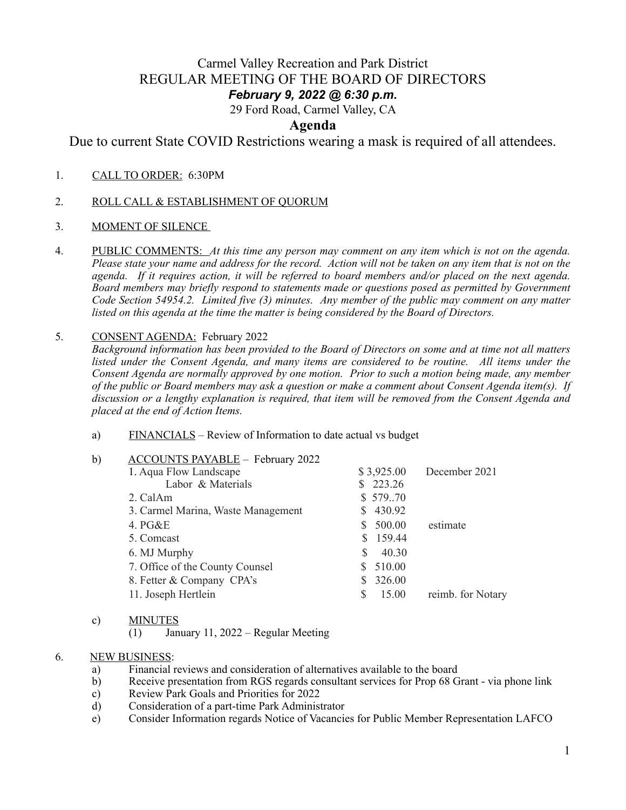# Carmel Valley Recreation and Park District REGULAR MEETING OF THE BOARD OF DIRECTORS

## *February 9, 2022 @ 6:30 p.m.*

29 Ford Road, Carmel Valley, CA

### **Agenda**

Due to current State COVID Restrictions wearing a mask is required of all attendees.

- 1.CALL TO ORDER: 6:30PM
- 2. ROLL CALL & ESTABLISHMENT OF QUORUM
- 3. MOMENT OF SILENCE
- 4. PUBLIC COMMENTS: *At this time any person may comment on any item which is not on the agenda. Please state your name and address for the record. Action will not be taken on any item that is not on the agenda. If it requires action, it will be referred to board members and/or placed on the next agenda. Board members may briefly respond to statements made or questions posed as permitted by Government Code Section 54954.2. Limited five (3) minutes. Any member of the public may comment on any matter listed on this agenda at the time the matter is being considered by the Board of Directors.*

#### 5. CONSENT AGENDA: February 2022

*Background information has been provided to the Board of Directors on some and at time not all matters listed under the Consent Agenda, and many items are considered to be routine. All items under the Consent Agenda are normally approved by one motion. Prior to such a motion being made, any member of the public or Board members may ask a question or make a comment about Consent Agenda item(s). If discussion or a lengthy explanation is required, that item will be removed from the Consent Agenda and placed at the end of Action Items.*

a) FINANCIALS – Review of Information to date actual vs budget

| $\mathbf{b}$ | <b>ACCOUNTS PAYABLE - February 2022</b> |            |                   |
|--------------|-----------------------------------------|------------|-------------------|
|              | 1. Aqua Flow Landscape                  | \$3,925.00 | December 2021     |
|              | Labor & Materials                       | 223.26     |                   |
|              | 2. CalAm                                | \$57970    |                   |
|              | 3. Carmel Marina, Waste Management      | \$430.92   |                   |
|              | 4. $PG&E$                               | \$500.00   | estimate          |
|              | 5. Comcast                              | \$159.44   |                   |
|              | 6. MJ Murphy                            | 40.30      |                   |
|              | 7. Office of the County Counsel         | 510.00     |                   |
|              | 8. Fetter & Company CPA's               | 326.00     |                   |
|              | 11. Joseph Hertlein                     | 15.00      | reimb. for Notary |
|              |                                         |            |                   |

#### c) MINUTES

(1) January 11, 2022 – Regular Meeting

#### 6. NEW BUSINESS:

- a) Financial reviews and consideration of alternatives available to the board
- b) Receive presentation from RGS regards consultant services for Prop 68 Grant via phone link
- c) Review Park Goals and Priorities for 2022
- d) Consideration of a part-time Park Administrator
- e) Consider Information regards Notice of Vacancies for Public Member Representation LAFCO